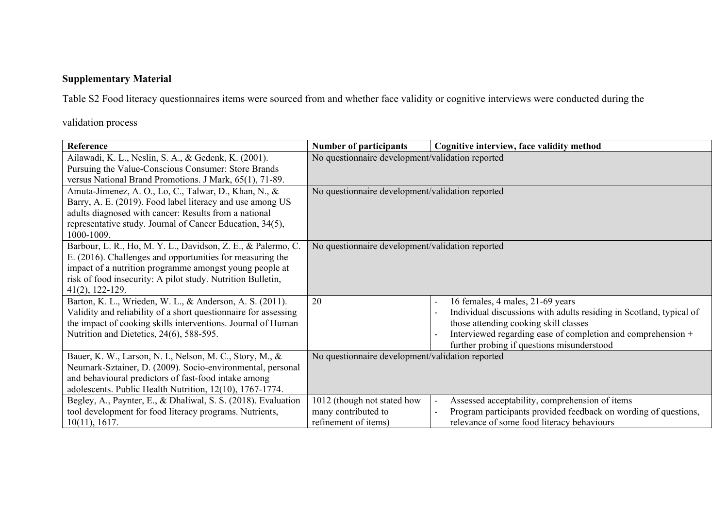## **Supplementary Material**

Table S2 Food literacy questionnaires items were sourced from and whether face validity or cognitive interviews were conducted during the

validation process

| Reference                                                       | <b>Number of participants</b>                    | Cognitive interview, face validity method                           |
|-----------------------------------------------------------------|--------------------------------------------------|---------------------------------------------------------------------|
| Ailawadi, K. L., Neslin, S. A., & Gedenk, K. (2001).            | No questionnaire development/validation reported |                                                                     |
| Pursuing the Value-Conscious Consumer: Store Brands             |                                                  |                                                                     |
| versus National Brand Promotions. J Mark, 65(1), 71-89.         |                                                  |                                                                     |
| Amuta-Jimenez, A. O., Lo, C., Talwar, D., Khan, N., &           | No questionnaire development/validation reported |                                                                     |
| Barry, A. E. (2019). Food label literacy and use among US       |                                                  |                                                                     |
| adults diagnosed with cancer: Results from a national           |                                                  |                                                                     |
| representative study. Journal of Cancer Education, 34(5),       |                                                  |                                                                     |
| 1000-1009.                                                      |                                                  |                                                                     |
| Barbour, L. R., Ho, M. Y. L., Davidson, Z. E., & Palermo, C.    | No questionnaire development/validation reported |                                                                     |
| E. (2016). Challenges and opportunities for measuring the       |                                                  |                                                                     |
| impact of a nutrition programme amongst young people at         |                                                  |                                                                     |
| risk of food insecurity: A pilot study. Nutrition Bulletin,     |                                                  |                                                                     |
| $41(2), 122-129.$                                               |                                                  |                                                                     |
| Barton, K. L., Wrieden, W. L., & Anderson, A. S. (2011).        | 20                                               | 16 females, 4 males, 21-69 years<br>$\overline{\phantom{a}}$        |
| Validity and reliability of a short questionnaire for assessing |                                                  | Individual discussions with adults residing in Scotland, typical of |
| the impact of cooking skills interventions. Journal of Human    |                                                  | those attending cooking skill classes                               |
| Nutrition and Dietetics, 24(6), 588-595.                        |                                                  | Interviewed regarding ease of completion and comprehension +        |
|                                                                 |                                                  | further probing if questions misunderstood                          |
| Bauer, K. W., Larson, N. I., Nelson, M. C., Story, M., &        | No questionnaire development/validation reported |                                                                     |
| Neumark-Sztainer, D. (2009). Socio-environmental, personal      |                                                  |                                                                     |
| and behavioural predictors of fast-food intake among            |                                                  |                                                                     |
| adolescents. Public Health Nutrition, 12(10), 1767-1774.        |                                                  |                                                                     |
| Begley, A., Paynter, E., & Dhaliwal, S. S. (2018). Evaluation   | 1012 (though not stated how                      | Assessed acceptability, comprehension of items                      |
| tool development for food literacy programs. Nutrients,         | many contributed to                              | Program participants provided feedback on wording of questions,     |
| 10(11), 1617.                                                   | refinement of items)                             | relevance of some food literacy behaviours                          |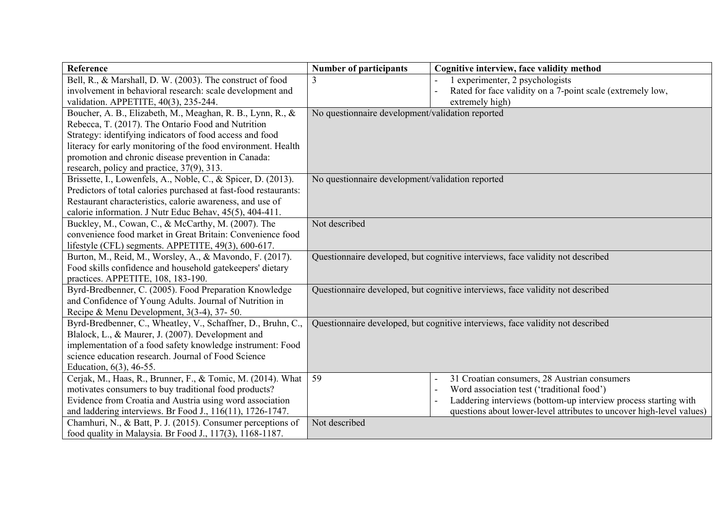| Reference                                                        | <b>Number of participants</b>                    | Cognitive interview, face validity method                                      |
|------------------------------------------------------------------|--------------------------------------------------|--------------------------------------------------------------------------------|
| Bell, R., & Marshall, D. W. (2003). The construct of food        |                                                  | 1 experimenter, 2 psychologists                                                |
| involvement in behavioral research: scale development and        |                                                  | Rated for face validity on a 7-point scale (extremely low,                     |
| validation. APPETITE, 40(3), 235-244.                            |                                                  | extremely high)                                                                |
| Boucher, A. B., Elizabeth, M., Meaghan, R. B., Lynn, R., &       | No questionnaire development/validation reported |                                                                                |
| Rebecca, T. (2017). The Ontario Food and Nutrition               |                                                  |                                                                                |
| Strategy: identifying indicators of food access and food         |                                                  |                                                                                |
| literacy for early monitoring of the food environment. Health    |                                                  |                                                                                |
| promotion and chronic disease prevention in Canada:              |                                                  |                                                                                |
| research, policy and practice, 37(9), 313.                       |                                                  |                                                                                |
| Brissette, I., Lowenfels, A., Noble, C., & Spicer, D. (2013).    | No questionnaire development/validation reported |                                                                                |
| Predictors of total calories purchased at fast-food restaurants: |                                                  |                                                                                |
| Restaurant characteristics, calorie awareness, and use of        |                                                  |                                                                                |
| calorie information. J Nutr Educ Behav, 45(5), 404-411.          |                                                  |                                                                                |
| Buckley, M., Cowan, C., & McCarthy, M. (2007). The               | Not described                                    |                                                                                |
| convenience food market in Great Britain: Convenience food       |                                                  |                                                                                |
| lifestyle (CFL) segments. APPETITE, 49(3), 600-617.              |                                                  |                                                                                |
| Burton, M., Reid, M., Worsley, A., & Mavondo, F. (2017).         |                                                  | Questionnaire developed, but cognitive interviews, face validity not described |
| Food skills confidence and household gatekeepers' dietary        |                                                  |                                                                                |
| practices. APPETITE, 108, 183-190.                               |                                                  |                                                                                |
| Byrd-Bredbenner, C. (2005). Food Preparation Knowledge           |                                                  | Questionnaire developed, but cognitive interviews, face validity not described |
| and Confidence of Young Adults. Journal of Nutrition in          |                                                  |                                                                                |
| Recipe & Menu Development, 3(3-4), 37- 50.                       |                                                  |                                                                                |
| Byrd-Bredbenner, C., Wheatley, V., Schaffner, D., Bruhn, C.,     |                                                  | Questionnaire developed, but cognitive interviews, face validity not described |
| Blalock, L., & Maurer, J. (2007). Development and                |                                                  |                                                                                |
| implementation of a food safety knowledge instrument: Food       |                                                  |                                                                                |
| science education research. Journal of Food Science              |                                                  |                                                                                |
| Education, 6(3), 46-55.                                          |                                                  |                                                                                |
| Cerjak, M., Haas, R., Brunner, F., & Tomic, M. (2014). What      | 59                                               | 31 Croatian consumers, 28 Austrian consumers                                   |
| motivates consumers to buy traditional food products?            |                                                  | Word association test ('traditional food')                                     |
| Evidence from Croatia and Austria using word association         |                                                  | Laddering interviews (bottom-up interview process starting with                |
| and laddering interviews. Br Food J., 116(11), 1726-1747.        |                                                  | questions about lower-level attributes to uncover high-level values)           |
| Chamhuri, N., & Batt, P. J. (2015). Consumer perceptions of      | Not described                                    |                                                                                |
| food quality in Malaysia. Br Food J., 117(3), 1168-1187.         |                                                  |                                                                                |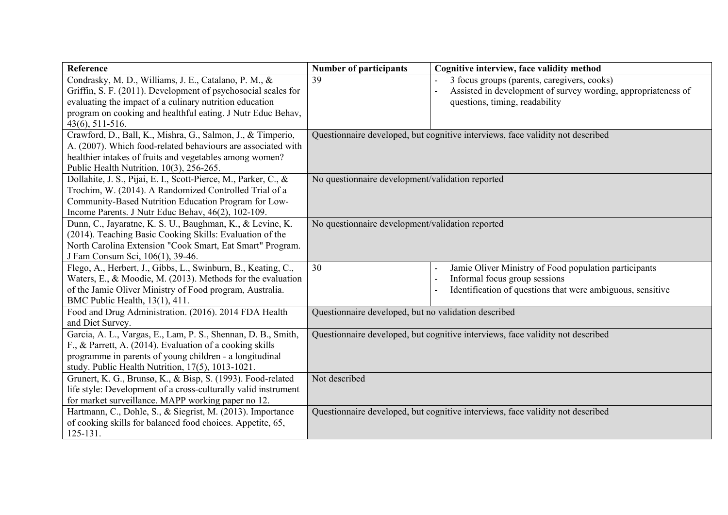| Reference                                                       | <b>Number of participants</b>                                                  | Cognitive interview, face validity method                                      |
|-----------------------------------------------------------------|--------------------------------------------------------------------------------|--------------------------------------------------------------------------------|
| Condrasky, M. D., Williams, J. E., Catalano, P. M., &           | 39                                                                             | 3 focus groups (parents, caregivers, cooks)                                    |
| Griffin, S. F. (2011). Development of psychosocial scales for   |                                                                                | Assisted in development of survey wording, appropriateness of                  |
| evaluating the impact of a culinary nutrition education         |                                                                                | questions, timing, readability                                                 |
| program on cooking and healthful eating. J Nutr Educ Behav,     |                                                                                |                                                                                |
| $43(6), 511-516.$                                               |                                                                                |                                                                                |
| Crawford, D., Ball, K., Mishra, G., Salmon, J., & Timperio,     | Questionnaire developed, but cognitive interviews, face validity not described |                                                                                |
| A. (2007). Which food-related behaviours are associated with    |                                                                                |                                                                                |
| healthier intakes of fruits and vegetables among women?         |                                                                                |                                                                                |
| Public Health Nutrition, 10(3), 256-265.                        |                                                                                |                                                                                |
| Dollahite, J. S., Pijai, E. I., Scott-Pierce, M., Parker, C., & | No questionnaire development/validation reported                               |                                                                                |
| Trochim, W. (2014). A Randomized Controlled Trial of a          |                                                                                |                                                                                |
| Community-Based Nutrition Education Program for Low-            |                                                                                |                                                                                |
| Income Parents. J Nutr Educ Behav, 46(2), 102-109.              |                                                                                |                                                                                |
| Dunn, C., Jayaratne, K. S. U., Baughman, K., & Levine, K.       | No questionnaire development/validation reported                               |                                                                                |
| (2014). Teaching Basic Cooking Skills: Evaluation of the        |                                                                                |                                                                                |
| North Carolina Extension "Cook Smart, Eat Smart" Program.       |                                                                                |                                                                                |
| J Fam Consum Sci, 106(1), 39-46.                                |                                                                                |                                                                                |
| Flego, A., Herbert, J., Gibbs, L., Swinburn, B., Keating, C.,   | 30                                                                             | Jamie Oliver Ministry of Food population participants                          |
| Waters, E., & Moodie, M. (2013). Methods for the evaluation     |                                                                                | Informal focus group sessions                                                  |
| of the Jamie Oliver Ministry of Food program, Australia.        |                                                                                | Identification of questions that were ambiguous, sensitive                     |
| BMC Public Health, 13(1), 411.                                  |                                                                                |                                                                                |
| Food and Drug Administration. (2016). 2014 FDA Health           | Questionnaire developed, but no validation described                           |                                                                                |
| and Diet Survey.                                                |                                                                                |                                                                                |
| Garcia, A. L., Vargas, E., Lam, P. S., Shennan, D. B., Smith,   |                                                                                | Questionnaire developed, but cognitive interviews, face validity not described |
| F., & Parrett, A. (2014). Evaluation of a cooking skills        |                                                                                |                                                                                |
| programme in parents of young children - a longitudinal         |                                                                                |                                                                                |
| study. Public Health Nutrition, 17(5), 1013-1021.               |                                                                                |                                                                                |
| Grunert, K. G., Brunsø, K., & Bisp, S. (1993). Food-related     | Not described                                                                  |                                                                                |
| life style: Development of a cross-culturally valid instrument  |                                                                                |                                                                                |
| for market surveillance. MAPP working paper no 12.              |                                                                                |                                                                                |
| Hartmann, C., Dohle, S., & Siegrist, M. (2013). Importance      |                                                                                | Questionnaire developed, but cognitive interviews, face validity not described |
| of cooking skills for balanced food choices. Appetite, 65,      |                                                                                |                                                                                |
| $125 - 131.$                                                    |                                                                                |                                                                                |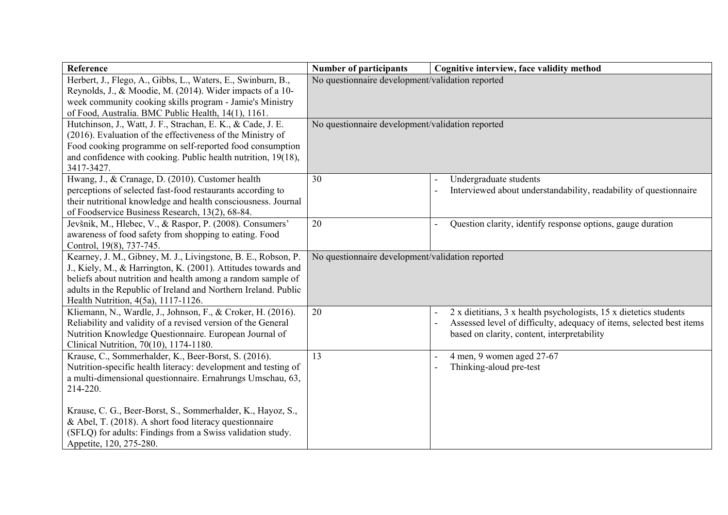| <b>Reference</b>                                                                                 | <b>Number of participants</b>                    | Cognitive interview, face validity method                                                                           |
|--------------------------------------------------------------------------------------------------|--------------------------------------------------|---------------------------------------------------------------------------------------------------------------------|
| Herbert, J., Flego, A., Gibbs, L., Waters, E., Swinburn, B.,                                     | No questionnaire development/validation reported |                                                                                                                     |
| Reynolds, J., & Moodie, M. (2014). Wider impacts of a 10-                                        |                                                  |                                                                                                                     |
| week community cooking skills program - Jamie's Ministry                                         |                                                  |                                                                                                                     |
| of Food, Australia. BMC Public Health, 14(1), 1161.                                              |                                                  |                                                                                                                     |
| Hutchinson, J., Watt, J. F., Strachan, E. K., & Cade, J. E.                                      | No questionnaire development/validation reported |                                                                                                                     |
| (2016). Evaluation of the effectiveness of the Ministry of                                       |                                                  |                                                                                                                     |
| Food cooking programme on self-reported food consumption                                         |                                                  |                                                                                                                     |
| and confidence with cooking. Public health nutrition, 19(18),                                    |                                                  |                                                                                                                     |
| 3417-3427.                                                                                       |                                                  |                                                                                                                     |
| Hwang, J., & Cranage, D. (2010). Customer health                                                 | 30                                               | Undergraduate students                                                                                              |
| perceptions of selected fast-food restaurants according to                                       |                                                  | Interviewed about understandability, readability of questionnaire                                                   |
| their nutritional knowledge and health consciousness. Journal                                    |                                                  |                                                                                                                     |
| of Foodservice Business Research, 13(2), 68-84.                                                  |                                                  |                                                                                                                     |
| Jevšnik, M., Hlebec, V., & Raspor, P. (2008). Consumers'                                         | 20                                               | Question clarity, identify response options, gauge duration                                                         |
| awareness of food safety from shopping to eating. Food                                           |                                                  |                                                                                                                     |
| Control, 19(8), 737-745.                                                                         |                                                  |                                                                                                                     |
| Kearney, J. M., Gibney, M. J., Livingstone, B. E., Robson, P.                                    | No questionnaire development/validation reported |                                                                                                                     |
| J., Kiely, M., & Harrington, K. (2001). Attitudes towards and                                    |                                                  |                                                                                                                     |
| beliefs about nutrition and health among a random sample of                                      |                                                  |                                                                                                                     |
| adults in the Republic of Ireland and Northern Ireland. Public                                   |                                                  |                                                                                                                     |
| Health Nutrition, 4(5a), 1117-1126.                                                              |                                                  |                                                                                                                     |
| Kliemann, N., Wardle, J., Johnson, F., & Croker, H. (2016).                                      | 20                                               | 2 x dietitians, 3 x health psychologists, 15 x dietetics students                                                   |
| Reliability and validity of a revised version of the General                                     |                                                  | Assessed level of difficulty, adequacy of items, selected best items<br>based on clarity, content, interpretability |
| Nutrition Knowledge Questionnaire. European Journal of<br>Clinical Nutrition, 70(10), 1174-1180. |                                                  |                                                                                                                     |
| Krause, C., Sommerhalder, K., Beer-Borst, S. (2016).                                             | 13                                               | 4 men, 9 women aged 27-67                                                                                           |
| Nutrition-specific health literacy: development and testing of                                   |                                                  | Thinking-aloud pre-test                                                                                             |
| a multi-dimensional questionnaire. Ernahrungs Umschau, 63,                                       |                                                  |                                                                                                                     |
| 214-220.                                                                                         |                                                  |                                                                                                                     |
|                                                                                                  |                                                  |                                                                                                                     |
| Krause, C. G., Beer-Borst, S., Sommerhalder, K., Hayoz, S.,                                      |                                                  |                                                                                                                     |
| & Abel, T. (2018). A short food literacy questionnaire                                           |                                                  |                                                                                                                     |
| (SFLQ) for adults: Findings from a Swiss validation study.                                       |                                                  |                                                                                                                     |
| Appetite, 120, 275-280.                                                                          |                                                  |                                                                                                                     |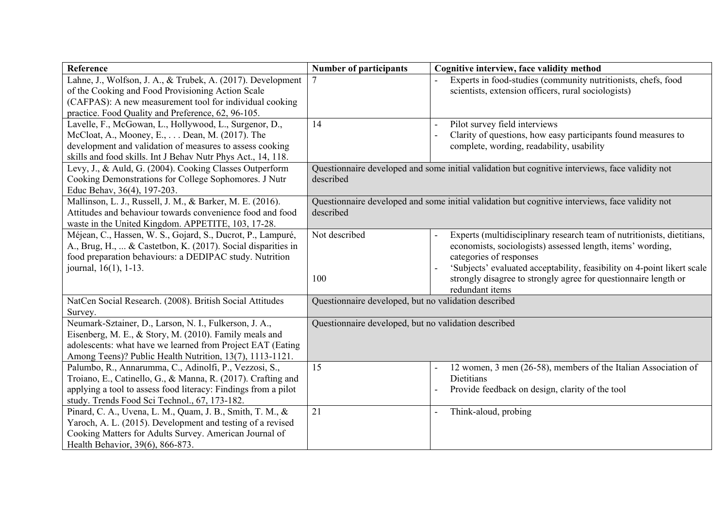| <b>Reference</b>                                               | <b>Number of participants</b>                                                                   | Cognitive interview, face validity method                               |
|----------------------------------------------------------------|-------------------------------------------------------------------------------------------------|-------------------------------------------------------------------------|
| Lahne, J., Wolfson, J. A., & Trubek, A. (2017). Development    |                                                                                                 | Experts in food-studies (community nutritionists, chefs, food           |
| of the Cooking and Food Provisioning Action Scale              |                                                                                                 | scientists, extension officers, rural sociologists)                     |
| (CAFPAS): A new measurement tool for individual cooking        |                                                                                                 |                                                                         |
| practice. Food Quality and Preference, 62, 96-105.             |                                                                                                 |                                                                         |
| Lavelle, F., McGowan, L., Hollywood, L., Surgenor, D.,         | 14                                                                                              | Pilot survey field interviews                                           |
| McCloat, A., Mooney, E., Dean, M. (2017). The                  |                                                                                                 | Clarity of questions, how easy participants found measures to           |
| development and validation of measures to assess cooking       |                                                                                                 | complete, wording, readability, usability                               |
| skills and food skills. Int J Behav Nutr Phys Act., 14, 118.   |                                                                                                 |                                                                         |
| Levy, J., & Auld, G. (2004). Cooking Classes Outperform        | Questionnaire developed and some initial validation but cognitive interviews, face validity not |                                                                         |
| Cooking Demonstrations for College Sophomores. J Nutr          | described                                                                                       |                                                                         |
| Educ Behav, 36(4), 197-203.                                    |                                                                                                 |                                                                         |
| Mallinson, L. J., Russell, J. M., & Barker, M. E. (2016).      | Questionnaire developed and some initial validation but cognitive interviews, face validity not |                                                                         |
| Attitudes and behaviour towards convenience food and food      | described                                                                                       |                                                                         |
| waste in the United Kingdom. APPETITE, 103, 17-28.             |                                                                                                 |                                                                         |
| Méjean, C., Hassen, W. S., Gojard, S., Ducrot, P., Lampuré,    | Not described                                                                                   | Experts (multidisciplinary research team of nutritionists, dietitians,  |
| A., Brug, H.,  & Castetbon, K. (2017). Social disparities in   |                                                                                                 | economists, sociologists) assessed length, items' wording,              |
| food preparation behaviours: a DEDIPAC study. Nutrition        |                                                                                                 | categories of responses                                                 |
| journal, 16(1), 1-13.                                          |                                                                                                 | 'Subjects' evaluated acceptability, feasibility on 4-point likert scale |
|                                                                | 100                                                                                             | strongly disagree to strongly agree for questionnaire length or         |
|                                                                |                                                                                                 | redundant items                                                         |
| NatCen Social Research. (2008). British Social Attitudes       | Questionnaire developed, but no validation described                                            |                                                                         |
| Survey.                                                        |                                                                                                 |                                                                         |
| Neumark-Sztainer, D., Larson, N. I., Fulkerson, J. A.,         | Questionnaire developed, but no validation described                                            |                                                                         |
| Eisenberg, M. E., & Story, M. (2010). Family meals and         |                                                                                                 |                                                                         |
| adolescents: what have we learned from Project EAT (Eating     |                                                                                                 |                                                                         |
| Among Teens)? Public Health Nutrition, 13(7), 1113-1121.       |                                                                                                 |                                                                         |
| Palumbo, R., Annarumma, C., Adinolfi, P., Vezzosi, S.,         | 15                                                                                              | 12 women, 3 men (26-58), members of the Italian Association of          |
| Troiano, E., Catinello, G., & Manna, R. (2017). Crafting and   |                                                                                                 | Dietitians                                                              |
| applying a tool to assess food literacy: Findings from a pilot |                                                                                                 | Provide feedback on design, clarity of the tool                         |
| study. Trends Food Sci Technol., 67, 173-182.                  |                                                                                                 |                                                                         |
| Pinard, C. A., Uvena, L. M., Quam, J. B., Smith, T. M., &      | 21                                                                                              | Think-aloud, probing                                                    |
| Yaroch, A. L. (2015). Development and testing of a revised     |                                                                                                 |                                                                         |
| Cooking Matters for Adults Survey. American Journal of         |                                                                                                 |                                                                         |
| Health Behavior, 39(6), 866-873.                               |                                                                                                 |                                                                         |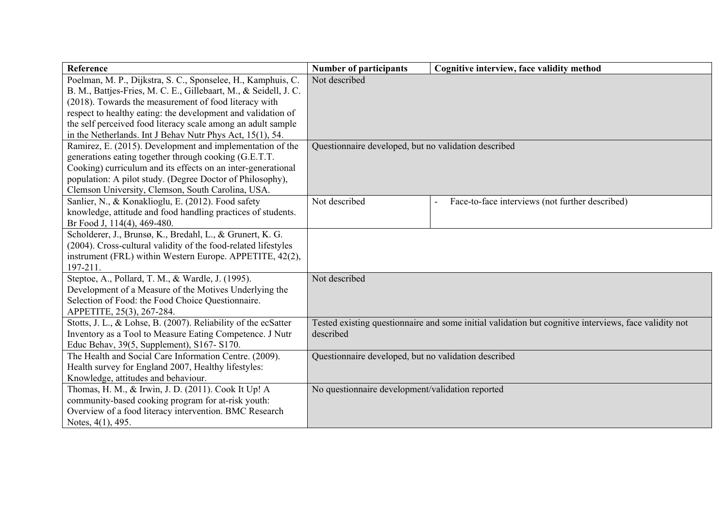| Reference                                                        | <b>Number of participants</b>                        | Cognitive interview, face validity method                                                             |
|------------------------------------------------------------------|------------------------------------------------------|-------------------------------------------------------------------------------------------------------|
| Poelman, M. P., Dijkstra, S. C., Sponselee, H., Kamphuis, C.     | Not described                                        |                                                                                                       |
| B. M., Battjes-Fries, M. C. E., Gillebaart, M., & Seidell, J. C. |                                                      |                                                                                                       |
| (2018). Towards the measurement of food literacy with            |                                                      |                                                                                                       |
| respect to healthy eating: the development and validation of     |                                                      |                                                                                                       |
| the self perceived food literacy scale among an adult sample     |                                                      |                                                                                                       |
| in the Netherlands. Int J Behav Nutr Phys Act, 15(1), 54.        |                                                      |                                                                                                       |
| Ramirez, E. (2015). Development and implementation of the        | Questionnaire developed, but no validation described |                                                                                                       |
| generations eating together through cooking (G.E.T.T.            |                                                      |                                                                                                       |
| Cooking) curriculum and its effects on an inter-generational     |                                                      |                                                                                                       |
| population: A pilot study. (Degree Doctor of Philosophy),        |                                                      |                                                                                                       |
| Clemson University, Clemson, South Carolina, USA.                |                                                      |                                                                                                       |
| Sanlier, N., & Konaklioglu, E. (2012). Food safety               | Not described                                        | Face-to-face interviews (not further described)                                                       |
| knowledge, attitude and food handling practices of students.     |                                                      |                                                                                                       |
| Br Food J, 114(4), 469-480.                                      |                                                      |                                                                                                       |
| Scholderer, J., Brunsø, K., Bredahl, L., & Grunert, K. G.        |                                                      |                                                                                                       |
| (2004). Cross-cultural validity of the food-related lifestyles   |                                                      |                                                                                                       |
| instrument (FRL) within Western Europe. APPETITE, 42(2),         |                                                      |                                                                                                       |
| 197-211.                                                         |                                                      |                                                                                                       |
| Steptoe, A., Pollard, T. M., & Wardle, J. (1995).                | Not described                                        |                                                                                                       |
| Development of a Measure of the Motives Underlying the           |                                                      |                                                                                                       |
| Selection of Food: the Food Choice Questionnaire.                |                                                      |                                                                                                       |
| APPETITE, 25(3), 267-284.                                        |                                                      |                                                                                                       |
| Stotts, J. L., & Lohse, B. (2007). Reliability of the ecSatter   |                                                      | Tested existing questionnaire and some initial validation but cognitive interviews, face validity not |
| Inventory as a Tool to Measure Eating Competence. J Nutr         | described                                            |                                                                                                       |
| Educ Behav, 39(5, Supplement), S167- S170.                       |                                                      |                                                                                                       |
| The Health and Social Care Information Centre. (2009).           | Questionnaire developed, but no validation described |                                                                                                       |
| Health survey for England 2007, Healthy lifestyles:              |                                                      |                                                                                                       |
| Knowledge, attitudes and behaviour.                              |                                                      |                                                                                                       |
| Thomas, H. M., & Irwin, J. D. (2011). Cook It Up! A              | No questionnaire development/validation reported     |                                                                                                       |
| community-based cooking program for at-risk youth:               |                                                      |                                                                                                       |
| Overview of a food literacy intervention. BMC Research           |                                                      |                                                                                                       |
| Notes, 4(1), 495.                                                |                                                      |                                                                                                       |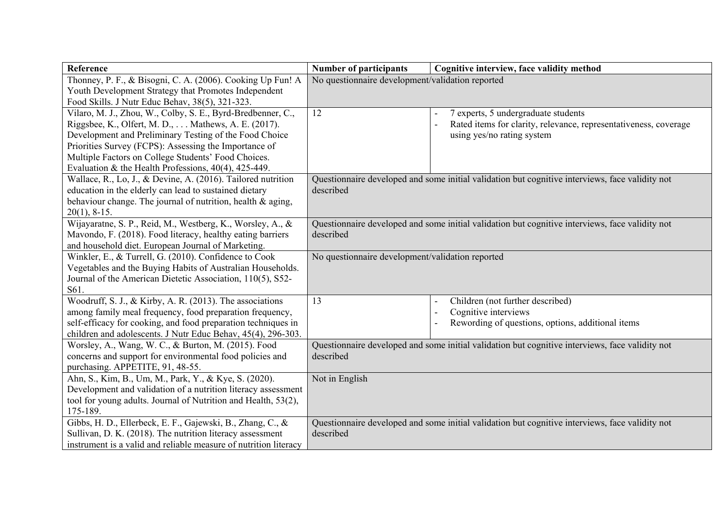| Reference                                                        | <b>Number of participants</b>                                                                   | Cognitive interview, face validity method                                                       |
|------------------------------------------------------------------|-------------------------------------------------------------------------------------------------|-------------------------------------------------------------------------------------------------|
| Thonney, P. F., & Bisogni, C. A. (2006). Cooking Up Fun! A       | No questionnaire development/validation reported                                                |                                                                                                 |
| Youth Development Strategy that Promotes Independent             |                                                                                                 |                                                                                                 |
| Food Skills. J Nutr Educ Behav, 38(5), 321-323.                  |                                                                                                 |                                                                                                 |
| Vilaro, M. J., Zhou, W., Colby, S. E., Byrd-Bredbenner, C.,      | 12                                                                                              | 7 experts, 5 undergraduate students                                                             |
| Riggsbee, K., Olfert, M. D.,  Mathews, A. E. (2017).             |                                                                                                 | Rated items for clarity, relevance, representativeness, coverage                                |
| Development and Preliminary Testing of the Food Choice           |                                                                                                 | using yes/no rating system                                                                      |
| Priorities Survey (FCPS): Assessing the Importance of            |                                                                                                 |                                                                                                 |
| Multiple Factors on College Students' Food Choices.              |                                                                                                 |                                                                                                 |
| Evaluation & the Health Professions, $40(4)$ , $425-449$ .       |                                                                                                 |                                                                                                 |
| Wallace, R., Lo, J., & Devine, A. (2016). Tailored nutrition     |                                                                                                 | Questionnaire developed and some initial validation but cognitive interviews, face validity not |
| education in the elderly can lead to sustained dietary           | described                                                                                       |                                                                                                 |
| behaviour change. The journal of nutrition, health & aging,      |                                                                                                 |                                                                                                 |
| $20(1)$ , 8-15.                                                  |                                                                                                 |                                                                                                 |
| Wijayaratne, S. P., Reid, M., Westberg, K., Worsley, A., &       | Questionnaire developed and some initial validation but cognitive interviews, face validity not |                                                                                                 |
| Mavondo, F. (2018). Food literacy, healthy eating barriers       | described                                                                                       |                                                                                                 |
| and household diet. European Journal of Marketing.               |                                                                                                 |                                                                                                 |
| Winkler, E., & Turrell, G. (2010). Confidence to Cook            | No questionnaire development/validation reported                                                |                                                                                                 |
| Vegetables and the Buying Habits of Australian Households.       |                                                                                                 |                                                                                                 |
| Journal of the American Dietetic Association, 110(5), S52-       |                                                                                                 |                                                                                                 |
| S61.                                                             |                                                                                                 |                                                                                                 |
| Woodruff, S. J., & Kirby, A. R. (2013). The associations         | 13                                                                                              | Children (not further described)                                                                |
| among family meal frequency, food preparation frequency,         |                                                                                                 | Cognitive interviews                                                                            |
| self-efficacy for cooking, and food preparation techniques in    |                                                                                                 | Rewording of questions, options, additional items                                               |
| children and adolescents. J Nutr Educ Behav, 45(4), 296-303.     |                                                                                                 |                                                                                                 |
| Worsley, A., Wang, W. C., & Burton, M. (2015). Food              | Questionnaire developed and some initial validation but cognitive interviews, face validity not |                                                                                                 |
| concerns and support for environmental food policies and         | described                                                                                       |                                                                                                 |
| purchasing. APPETITE, 91, 48-55.                                 |                                                                                                 |                                                                                                 |
| Ahn, S., Kim, B., Um, M., Park, Y., & Kye, S. (2020).            | Not in English                                                                                  |                                                                                                 |
| Development and validation of a nutrition literacy assessment    |                                                                                                 |                                                                                                 |
| tool for young adults. Journal of Nutrition and Health, 53(2),   |                                                                                                 |                                                                                                 |
| 175-189.                                                         |                                                                                                 |                                                                                                 |
| Gibbs, H. D., Ellerbeck, E. F., Gajewski, B., Zhang, C., &       | Questionnaire developed and some initial validation but cognitive interviews, face validity not |                                                                                                 |
| Sullivan, D. K. (2018). The nutrition literacy assessment        | described                                                                                       |                                                                                                 |
| instrument is a valid and reliable measure of nutrition literacy |                                                                                                 |                                                                                                 |